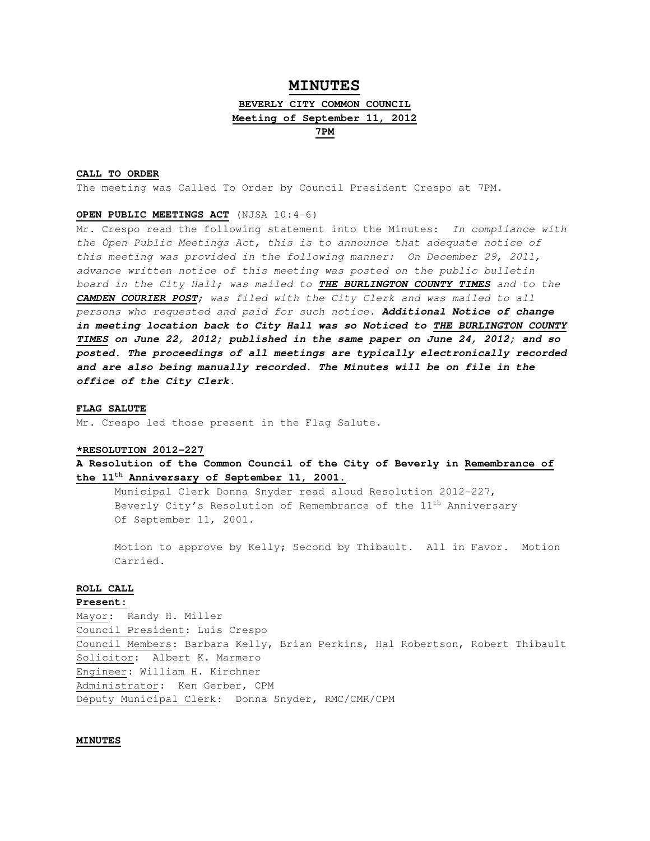# **MINUTES**

# **BEVERLY CITY COMMON COUNCIL Meeting of September 11, 2012**

**7PM**

# **CALL TO ORDER**

The meeting was Called To Order by Council President Crespo at 7PM.

### **OPEN PUBLIC MEETINGS ACT** (NJSA 10:4-6)

Mr. Crespo read the following statement into the Minutes: In compliance with the Open Public Meetings Act, this is to announce that adequate notice of this meeting was provided in the following manner: On December 29, 2011, advance written notice of this meeting was posted on the public bulletin board in the City Hall; was mailed to **THE BURLINGTON COUNTY TIMES** and to the **CAMDEN COURIER POST**; was filed with the City Clerk and was mailed to all persons who requested and paid for such notice. **Additional Notice of change in meeting location back to City Hall was so Noticed to THE BURLINGTON COUNTY TIMES on June 22, 2012; published in the same paper on June 24, 2012; and so posted. The proceedings of all meetings are typically electronically recorded and are also being manually recorded. The Minutes will be on file in the office of the City Clerk.** 

#### **FLAG SALUTE**

Mr. Crespo led those present in the Flag Salute.

#### **\*RESOLUTION 2012-227**

**A Resolution of the Common Council of the City of Beverly in Remembrance of the 11th Anniversary of September 11, 2001.**

 Municipal Clerk Donna Snyder read aloud Resolution 2012-227, Beverly City's Resolution of Remembrance of the 11<sup>th</sup> Anniversary Of September 11, 2001.

 Motion to approve by Kelly; Second by Thibault. All in Favor. Motion Carried.

## **ROLL CALL**

# **Present:**

Mayor: Randy H. Miller Council President: Luis Crespo Council Members: Barbara Kelly, Brian Perkins, Hal Robertson, Robert Thibault Solicitor: Albert K. Marmero Engineer: William H. Kirchner Administrator: Ken Gerber, CPM Deputy Municipal Clerk: Donna Snyder, RMC/CMR/CPM

#### **MINUTES**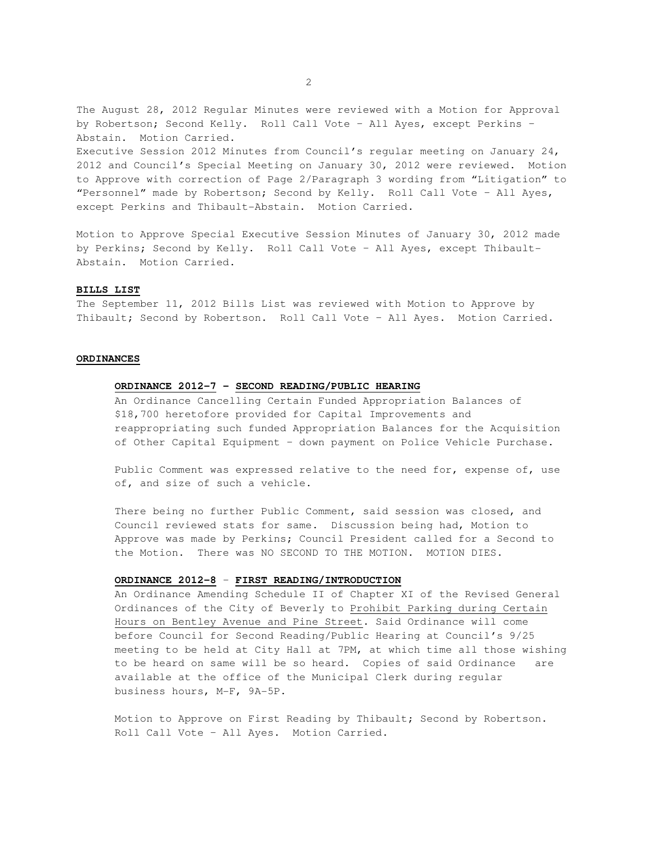The August 28, 2012 Regular Minutes were reviewed with a Motion for Approval by Robertson; Second Kelly. Roll Call Vote – All Ayes, except Perkins – Abstain. Motion Carried. Executive Session 2012 Minutes from Council's regular meeting on January 24, 2012 and Council's Special Meeting on January 30, 2012 were reviewed. Motion to Approve with correction of Page 2/Paragraph 3 wording from "Litigation" to "Personnel" made by Robertson; Second by Kelly. Roll Call Vote – All Ayes, except Perkins and Thibault-Abstain. Motion Carried.

Motion to Approve Special Executive Session Minutes of January 30, 2012 made by Perkins; Second by Kelly. Roll Call Vote – All Ayes, except Thibault-Abstain. Motion Carried.

## **BILLS LIST**

The September 11, 2012 Bills List was reviewed with Motion to Approve by Thibault; Second by Robertson. Roll Call Vote – All Ayes. Motion Carried.

## **ORDINANCES**

# **ORDINANCE 2012-7 – SECOND READING/PUBLIC HEARING**

 An Ordinance Cancelling Certain Funded Appropriation Balances of \$18,700 heretofore provided for Capital Improvements and reappropriating such funded Appropriation Balances for the Acquisition of Other Capital Equipment – down payment on Police Vehicle Purchase.

 Public Comment was expressed relative to the need for, expense of, use of, and size of such a vehicle.

 There being no further Public Comment, said session was closed, and Council reviewed stats for same. Discussion being had, Motion to Approve was made by Perkins; Council President called for a Second to the Motion. There was NO SECOND TO THE MOTION. MOTION DIES.

#### **ORDINANCE 2012-8** – **FIRST READING/INTRODUCTION**

 An Ordinance Amending Schedule II of Chapter XI of the Revised General Ordinances of the City of Beverly to Prohibit Parking during Certain Hours on Bentley Avenue and Pine Street. Said Ordinance will come before Council for Second Reading/Public Hearing at Council's 9/25 meeting to be held at City Hall at 7PM, at which time all those wishing to be heard on same will be so heard. Copies of said Ordinance are available at the office of the Municipal Clerk during regular business hours, M-F, 9A-5P.

 Motion to Approve on First Reading by Thibault; Second by Robertson. Roll Call Vote – All Ayes. Motion Carried.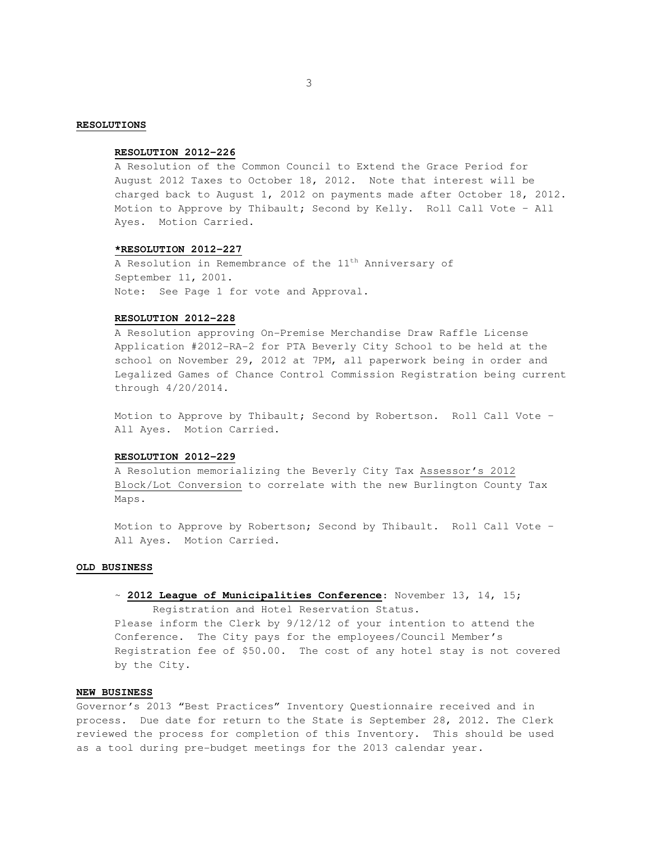#### **RESOLUTIONS**

# **RESOLUTION 2012-226**

 A Resolution of the Common Council to Extend the Grace Period for August 2012 Taxes to October 18, 2012. Note that interest will be charged back to August 1, 2012 on payments made after October 18, 2012. Motion to Approve by Thibault; Second by Kelly. Roll Call Vote – All Ayes. Motion Carried.

#### **\*RESOLUTION 2012-227**

A Resolution in Remembrance of the  $11<sup>th</sup>$  Anniversary of September 11, 2001. Note: See Page 1 for vote and Approval.

# **RESOLUTION 2012-228**

A Resolution approving On-Premise Merchandise Draw Raffle License Application #2012-RA-2 for PTA Beverly City School to be held at the school on November 29, 2012 at 7PM, all paperwork being in order and Legalized Games of Chance Control Commission Registration being current through 4/20/2014.

Motion to Approve by Thibault; Second by Robertson. Roll Call Vote – All Ayes. Motion Carried.

#### **RESOLUTION 2012-229**

A Resolution memorializing the Beverly City Tax Assessor's 2012 Block/Lot Conversion to correlate with the new Burlington County Tax Maps.

Motion to Approve by Robertson; Second by Thibault. Roll Call Vote – All Ayes. Motion Carried.

# **OLD BUSINESS**

# ~ **2012 League of Municipalities Conference**: November 13, 14, 15;

 Registration and Hotel Reservation Status. Please inform the Clerk by 9/12/12 of your intention to attend the Conference. The City pays for the employees/Council Member's Registration fee of \$50.00. The cost of any hotel stay is not covered by the City.

#### **NEW BUSINESS**

Governor's 2013 "Best Practices" Inventory Questionnaire received and in process. Due date for return to the State is September 28, 2012. The Clerk reviewed the process for completion of this Inventory. This should be used as a tool during pre-budget meetings for the 2013 calendar year.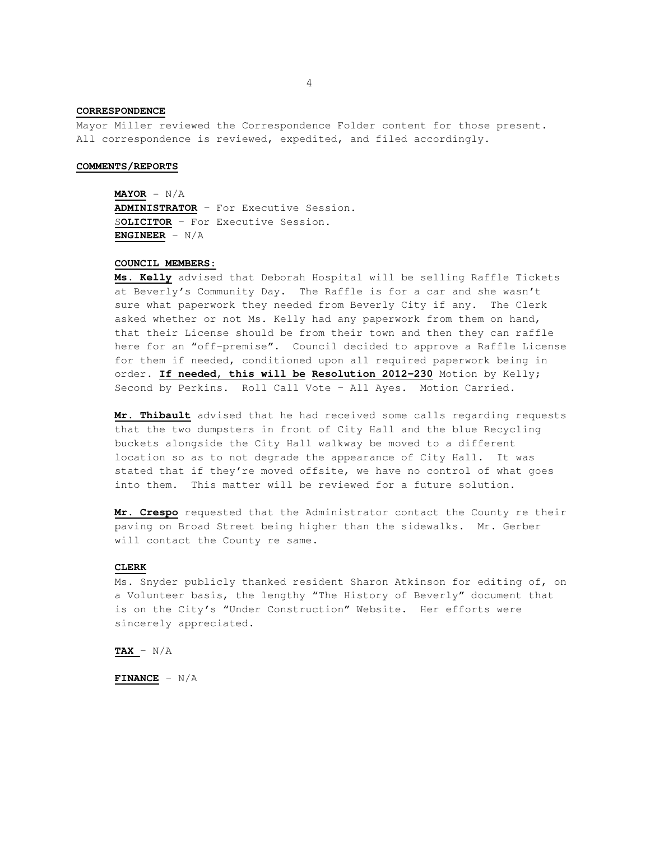# **CORRESPONDENCE**

Mayor Miller reviewed the Correspondence Folder content for those present. All correspondence is reviewed, expedited, and filed accordingly.

#### **COMMENTS/REPORTS**

**MAYOR** - N/A **ADMINISTRATOR** – For Executive Session. S**OLICITOR** – For Executive Session. **ENGINEER** – N/A

#### **COUNCIL MEMBERS:**

**Ms. Kelly** advised that Deborah Hospital will be selling Raffle Tickets at Beverly's Community Day. The Raffle is for a car and she wasn't sure what paperwork they needed from Beverly City if any. The Clerk asked whether or not Ms. Kelly had any paperwork from them on hand, that their License should be from their town and then they can raffle here for an "off-premise". Council decided to approve a Raffle License for them if needed, conditioned upon all required paperwork being in order. **If needed, this will be Resolution 2012-230** Motion by Kelly; Second by Perkins. Roll Call Vote – All Ayes. Motion Carried.

**Mr. Thibault** advised that he had received some calls regarding requests that the two dumpsters in front of City Hall and the blue Recycling buckets alongside the City Hall walkway be moved to a different location so as to not degrade the appearance of City Hall. It was stated that if they're moved offsite, we have no control of what goes into them. This matter will be reviewed for a future solution.

**Mr. Crespo** requested that the Administrator contact the County re their paving on Broad Street being higher than the sidewalks. Mr. Gerber will contact the County re same.

# **CLERK**

 Ms. Snyder publicly thanked resident Sharon Atkinson for editing of, on a Volunteer basis, the lengthy "The History of Beverly" document that is on the City's "Under Construction" Website. Her efforts were sincerely appreciated.

 **TAX** – N/A

 **FINANCE** – N/A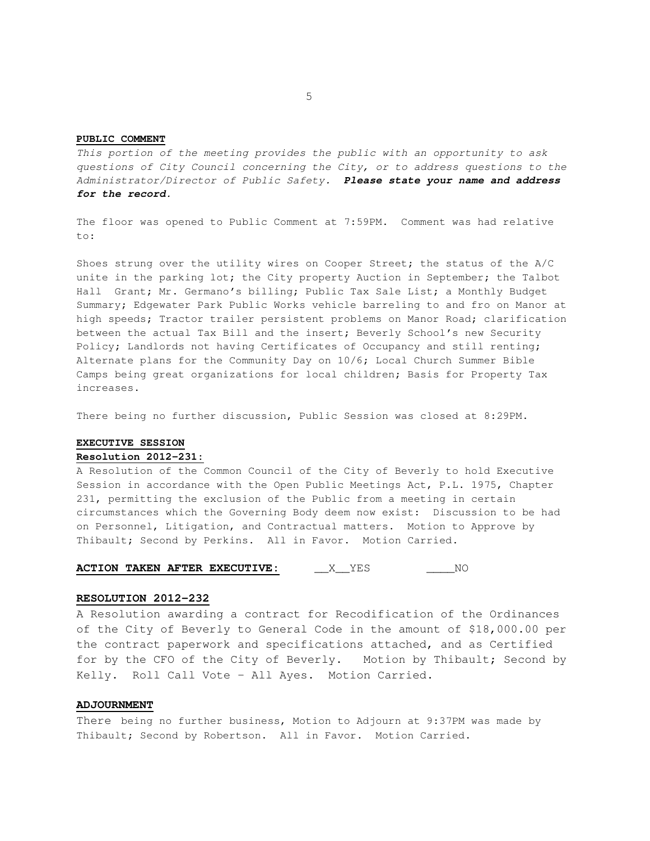#### **PUBLIC COMMENT**

This portion of the meeting provides the public with an opportunity to ask questions of City Council concerning the City, or to address questions to the Administrator/Director of Public Safety. **Please state your name and address for the record.** 

The floor was opened to Public Comment at 7:59PM. Comment was had relative  $t \circ t$ :

Shoes strung over the utility wires on Cooper Street; the status of the A/C unite in the parking lot; the City property Auction in September; the Talbot Hall Grant; Mr. Germano's billing; Public Tax Sale List; a Monthly Budget Summary; Edgewater Park Public Works vehicle barreling to and fro on Manor at high speeds; Tractor trailer persistent problems on Manor Road; clarification between the actual Tax Bill and the insert; Beverly School's new Security Policy; Landlords not having Certificates of Occupancy and still renting; Alternate plans for the Community Day on 10/6; Local Church Summer Bible Camps being great organizations for local children; Basis for Property Tax increases.

There being no further discussion, Public Session was closed at 8:29PM.

# **EXECUTIVE SESSION**

**Resolution 2012-231:**

A Resolution of the Common Council of the City of Beverly to hold Executive Session in accordance with the Open Public Meetings Act, P.L. 1975, Chapter 231, permitting the exclusion of the Public from a meeting in certain circumstances which the Governing Body deem now exist: Discussion to be had on Personnel, Litigation, and Contractual matters. Motion to Approve by Thibault; Second by Perkins. All in Favor. Motion Carried.

# **ACTION TAKEN AFTER EXECUTIVE:** \_\_\_\_X\_\_YES \_\_\_\_\_\_\_\_NO

## **RESOLUTION 2012-232**

A Resolution awarding a contract for Recodification of the Ordinances of the City of Beverly to General Code in the amount of \$18,000.00 per the contract paperwork and specifications attached, and as Certified for by the CFO of the City of Beverly. Motion by Thibault; Second by Kelly. Roll Call Vote – All Ayes. Motion Carried.

#### **ADJOURNMENT**

There being no further business, Motion to Adjourn at 9:37PM was made by Thibault; Second by Robertson. All in Favor. Motion Carried.